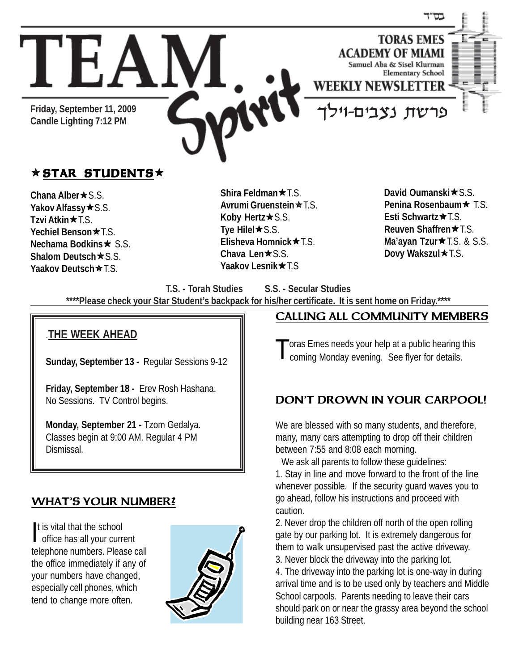

# $\star$  STAR STUDENTS $\star$

**Chana Alber ★ S.S. Yakov Alfassy ★ S.S. Tzvi Atkin ★ T.S. Yechiel Benson ★ T.S. Nechama Bodkins ★ S.S. Shalom Deutsch ★ S.S. Yaakov Deutsch★T.S.** 

**Shira Feldman ★ T.S. Avrumi Gruenstein ★ T.S. Koby Hertz★S.S. Tye Hilel**★S.S. **Elisheva Homnick ★ T.S. Chava Len★**S.S. **Yaakov Lesnik ★T.S** 

**David Oumanski ★ S.S. Penina Rosenbaum ★ T.S. Esti Schwartz★T.S. Reuven Shaffren ★ T.S. Ma'ayan Tzur**★T.S. & S.S. Dovy Wakszul **\*** T.S.

**T.S. - Torah Studies S.S. - Secular Studies**

**\*\*\*\*Please check your Star Student's backpack for his/her certificate. It is sent home on Friday.\*\*\*\***

#### 1234567890123456789012345678901212345678901234567890123456789012123456789 1 9 1234567890123456789012345678901212345678901234567890123456789012123456789 1 9 .**THE WEEK AHEAD** 1234567890123456789012345678901212345678901234567890123456789012123456789

1234567890123456789012345678901212345678901234567890123456789012123456789  $1$  9  $\pm$  9  $\pm$  9  $\pm$  9  $\pm$  9  $\pm$  9  $\pm$  9  $\pm$  9  $\pm$  9  $\pm$  9  $\pm$  9  $\pm$  9  $\pm$  9  $\pm$  9  $\pm$  9  $\pm$  9  $\pm$  9  $\pm$  9  $\pm$  9  $\pm$  9  $\pm$  9  $\pm$  9  $\pm$  9  $\pm$  9  $\pm$  9  $\pm$  9  $\pm$  9  $\pm$  9  $\pm$  9  $\pm$  9  $\pm$  9  $\pm$  1234567890123456789012345678901212345678901234567890123456789012123456789 1234567890123456789012345678901212345678901234567890123456789012123456789 Sunday, September 13 - Regular Sessions 9-12 | 1234567890123456789012345678901212345678901234567890123456789012123456789  $1$ 1234567890123456789012345678901212345678901234567890123456789012123456789 1234567890123456789012345678901212345678901234567890123456789012123456789

1234567890123456789012345678901212345678901234567890123456789012123456789

 $1$  9  $\pm$  9  $\pm$  9  $\pm$  9  $\pm$  9  $\pm$  9  $\pm$  9  $\pm$  9  $\pm$  9  $\pm$  9  $\pm$  9  $\pm$  9  $\pm$  9  $\pm$  9  $\pm$  9  $\pm$  9  $\pm$  9  $\pm$  9  $\pm$  9  $\pm$  9  $\pm$  9  $\pm$  9  $\pm$  9  $\pm$  9  $\pm$  9  $\pm$  9  $\pm$  9  $\pm$  9  $\pm$  9  $\pm$  9  $\pm$  9  $\pm$  1234567890123456789012345678901212345678901234567890123456789012123456789  $1$  9  $\pm$  9  $\pm$  9  $\pm$  9  $\pm$  9  $\pm$  9  $\pm$  9  $\pm$  9  $\pm$  9  $\pm$  9  $\pm$  9  $\pm$  9  $\pm$  9  $\pm$  9  $\pm$  9  $\pm$  9  $\pm$  9  $\pm$  9  $\pm$  9  $\pm$  9  $\pm$  9  $\pm$  9  $\pm$  9  $\pm$  9  $\pm$  9  $\pm$  9  $\pm$  9  $\pm$  9  $\pm$  9  $\pm$  9  $\pm$  9  $\pm$  1234567890123456789012345678901212345678901234567890123456789012123456789

1234567890123456789012345678901212345678901234567890123456789012123456789  $1$ 1234567890123456789012345678901212345678901234567890123456789012123456789 1234567890123456789012345678901212345678901234567890123456789012123456789

 $1$  9  $\pm$  9  $\pm$  9  $\pm$  9  $\pm$  9  $\pm$  9  $\pm$  9  $\pm$  9  $\pm$  9  $\pm$  9  $\pm$  9  $\pm$  9  $\pm$  9  $\pm$  9  $\pm$  9  $\pm$  9  $\pm$  9  $\pm$  9  $\pm$  9  $\pm$  9  $\pm$  9  $\pm$  9  $\pm$  9  $\pm$  9  $\pm$  9  $\pm$  9  $\pm$  9  $\pm$  9  $\pm$  9  $\pm$  9  $\pm$  9  $\pm$ 

1234567890123456789012345678901212345678901234567890123456789012123456789 1234567890123456789012345678901212345678901234567890123456789012123456789 1234567890123456789012345678901212345678901234567890123456789012123456789  $1$ 

| Friday, September 18 - Erev Rosh Hashana. | 1234567890123456789012345678901212345678901234567890123456789012123456789 | No Sessions. TV Control begins. 1234567890123456789012345678901212345678901234567890123456789012123456789

**Monday, September 21 - Tzom Gedalya.**  $1$  9  $-$  9  $-$  9  $-$  9  $-$  9  $-$  9  $-$  9  $-$  9  $-$  9  $-$  9  $-$  9  $-$  9  $-$  9  $-$  9  $-$  9  $-$  9  $-$  9  $-$  9  $-$  9  $-$  9  $-$  9  $-$  9  $-$  9  $-$  9  $-$  9  $-$  9  $-$  9  $-$  9  $-$  9  $-$  9  $-$  9  $-$  9  $-$  9  $-$  9  $-$  9  $-$  9  $-$  9  $\vert$  Classes begin at 9:00 AM. Regular 4 PM 1 9 1234567890123456789012345678901212345678901234567890123456789012123456789 1234567890123456789012345678901212345678901234567890123456789012123456789 1234567890123456789012345678901212345678901234567890123456789012123456789 Dismissal.1234567890123456789012345678901212345678901234567890123456789012123456789

## WHAT'S YOUR NUMBER?

t is vital that the school<br>office has all your curr office has all your current telephone numbers. Please call the office immediately if any of your numbers have changed, especially cell phones, which tend to change more often.



#### CALLING ALL COMMUNITY MEMBERS

oras Emes needs your help at a public hearing this coming Monday evening. See flyer for details.

## DON'T DROWN IN YOUR CARPOOL!

We are blessed with so many students, and therefore, many, many cars attempting to drop off their children between 7:55 and 8:08 each morning.

We ask all parents to follow these guidelines: 1. Stay in line and move forward to the front of the line whenever possible. If the security guard waves you to go ahead, follow his instructions and proceed with caution.

2. Never drop the children off north of the open rolling gate by our parking lot. It is extremely dangerous for them to walk unsupervised past the active driveway. 3. Never block the driveway into the parking lot.

4. The driveway into the parking lot is one-way in during arrival time and is to be used only by teachers and Middle School carpools. Parents needing to leave their cars should park on or near the grassy area beyond the school building near 163 Street.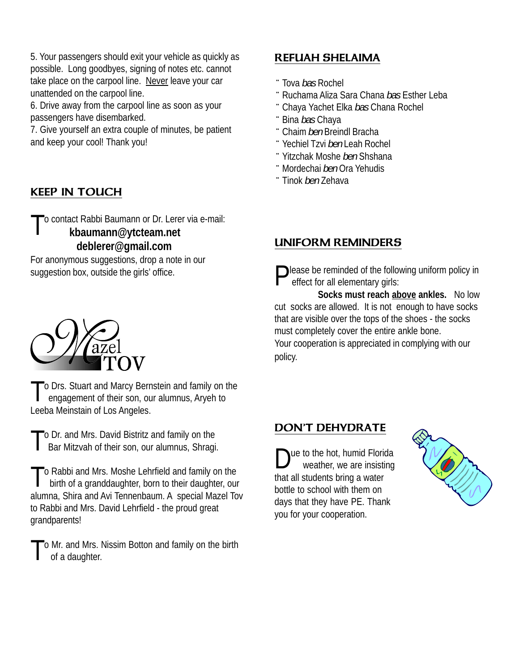5. Your passengers should exit your vehicle as quickly as possible. Long goodbyes, signing of notes etc. cannot take place on the carpool line. Never leave your car unattended on the carpool line.

6. Drive away from the carpool line as soon as your passengers have disembarked.

7. Give yourself an extra couple of minutes, be patient and keep your cool! Thank you!

# KEEP IN TOUCH

To contact Rabbi Baumann or Dr. Lerer via e-mail: **kbaumann@ytcteam.net deblerer@gmail.com**

For anonymous suggestions, drop a note in our suggestion box, outside the girls' office.



To Drs. Stuart and Marcy Bernstein and family on the engagement of their son, our alumnus, Aryeh to Leeba Meinstain of Los Angeles.

To Dr. and Mrs. David Bistritz and family on the<br>Bar Mitzvah of their son, our alumnus, Shragi.

 $\Gamma$  Rabbi and Mrs. Moshe Lehrfield and family on the birth of a granddaughter, born to their daughter, our alumna, Shira and Avi Tennenbaum. A special Mazel Tov to Rabbi and Mrs. David Lehrfield - the proud great grandparents!

To Mr. and Mrs. Nissim Botton and family on the birth of a daughter.

## REFUAH SHELAIMA

- ¨ Tova *bas* Rochel
- ¨ Ruchama Aliza Sara Chana *bas* Esther Leba
- ¨ Chaya Yachet Elka *bas* Chana Rochel
- ¨ Bina *bas* Chaya
- ¨ Chaim *ben* Breindl Bracha
- ¨ Yechiel Tzvi *ben* Leah Rochel
- ¨ Yitzchak Moshe *ben* Shshana
- ¨Mordechai *ben* Ora Yehudis
- ¨ Tinok *ben* Zehava

# UNIFORM REMINDERS

 $\bigcap$  lease be reminded of the following uniform policy in effect for all elementary girls:

 **Socks must reach above ankles.** No low cut socks are allowed. It is not enough to have socks that are visible over the tops of the shoes - the socks must completely cover the entire ankle bone. Your cooperation is appreciated in complying with our policy.

## DON'T DEHYDRATE

lue to the hot, humid Florida weather, we are insisting that all students bring a water bottle to school with them on days that they have PE. Thank you for your cooperation.